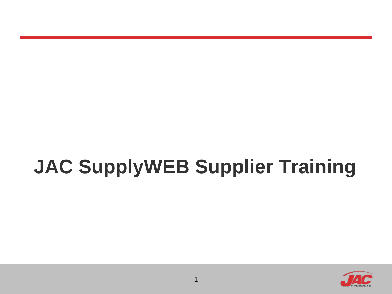# **JAC SupplyWEB Supplier Training**

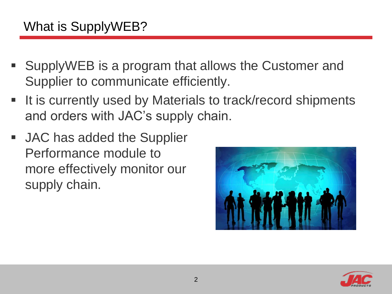### What is SupplyWEB?

- SupplyWEB is a program that allows the Customer and Supplier to communicate efficiently.
- It is currently used by Materials to track/record shipments and orders with JAC's supply chain.
- JAC has added the Supplier Performance module to more effectively monitor our supply chain.



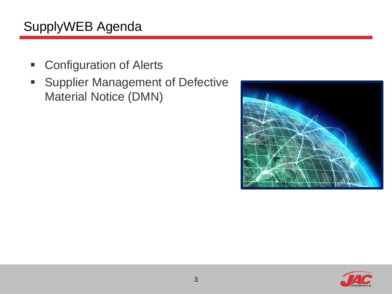# SupplyWEB Agenda

- **EXECONFIGURATION OF Alerts**
- **Supplier Management of Defective** Material Notice (DMN)



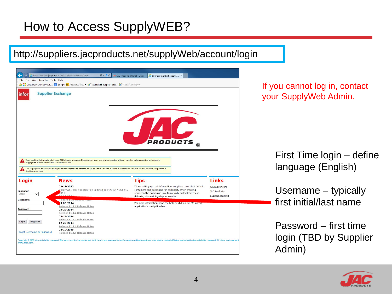#### How to Access SupplyWEB?

#### http://suppliers.jacproducts.net/supplyWeb/account/login

| <b>Supplier Exchange</b><br>infor<br><b>PRODUCTS</b><br>Your packing list must match your ASN shipper number. Please enter your system-generated shipper number when creating a shipper in<br>SupplyWEB. It should be a MAX of 10 characters.<br>Our SupplyWEB site will be going down for upgrade to Release 11.4.5 on February 25th at 6:00 PM for around an hour. Release notes are posted in<br>the News section. | <b>Links</b> | <b>Tips</b><br><b>News</b><br>When setting up part information, suppliers can select default<br>09-11-2012<br>www.infor.com | Login<br>SupplyWEB EDI Specification updated July 2012(ANSI X12<br>containers and packaging for each part. When creating<br><b>JAC Products</b><br>Language<br>(010)<br>shippers, the packaging is automatically pulled from these<br>English<br>$\check{~}$<br>Supplier Training<br>defaults, streamlining shipper creation.<br><b>Username</b><br><b>Release Literature avec</b><br>For more information, read the help by clicking the "?" on the<br>3-06-2014<br>Release 11.4.1 Release Notes<br>application's navigation bar.<br><b>Password</b><br>03-28-2014<br>Release 11.4.2 Release Notes<br>$08 - 12 - 2014$ |
|-----------------------------------------------------------------------------------------------------------------------------------------------------------------------------------------------------------------------------------------------------------------------------------------------------------------------------------------------------------------------------------------------------------------------|--------------|-----------------------------------------------------------------------------------------------------------------------------|-------------------------------------------------------------------------------------------------------------------------------------------------------------------------------------------------------------------------------------------------------------------------------------------------------------------------------------------------------------------------------------------------------------------------------------------------------------------------------------------------------------------------------------------------------------------------------------------------------------------------|
|                                                                                                                                                                                                                                                                                                                                                                                                                       |              |                                                                                                                             |                                                                                                                                                                                                                                                                                                                                                                                                                                                                                                                                                                                                                         |
|                                                                                                                                                                                                                                                                                                                                                                                                                       |              |                                                                                                                             |                                                                                                                                                                                                                                                                                                                                                                                                                                                                                                                                                                                                                         |
|                                                                                                                                                                                                                                                                                                                                                                                                                       |              |                                                                                                                             |                                                                                                                                                                                                                                                                                                                                                                                                                                                                                                                                                                                                                         |
|                                                                                                                                                                                                                                                                                                                                                                                                                       |              |                                                                                                                             |                                                                                                                                                                                                                                                                                                                                                                                                                                                                                                                                                                                                                         |
|                                                                                                                                                                                                                                                                                                                                                                                                                       |              |                                                                                                                             |                                                                                                                                                                                                                                                                                                                                                                                                                                                                                                                                                                                                                         |
|                                                                                                                                                                                                                                                                                                                                                                                                                       |              |                                                                                                                             |                                                                                                                                                                                                                                                                                                                                                                                                                                                                                                                                                                                                                         |
|                                                                                                                                                                                                                                                                                                                                                                                                                       |              |                                                                                                                             |                                                                                                                                                                                                                                                                                                                                                                                                                                                                                                                                                                                                                         |
|                                                                                                                                                                                                                                                                                                                                                                                                                       |              |                                                                                                                             |                                                                                                                                                                                                                                                                                                                                                                                                                                                                                                                                                                                                                         |
|                                                                                                                                                                                                                                                                                                                                                                                                                       |              |                                                                                                                             |                                                                                                                                                                                                                                                                                                                                                                                                                                                                                                                                                                                                                         |
|                                                                                                                                                                                                                                                                                                                                                                                                                       |              |                                                                                                                             |                                                                                                                                                                                                                                                                                                                                                                                                                                                                                                                                                                                                                         |
|                                                                                                                                                                                                                                                                                                                                                                                                                       |              |                                                                                                                             |                                                                                                                                                                                                                                                                                                                                                                                                                                                                                                                                                                                                                         |
|                                                                                                                                                                                                                                                                                                                                                                                                                       |              |                                                                                                                             |                                                                                                                                                                                                                                                                                                                                                                                                                                                                                                                                                                                                                         |
|                                                                                                                                                                                                                                                                                                                                                                                                                       |              |                                                                                                                             |                                                                                                                                                                                                                                                                                                                                                                                                                                                                                                                                                                                                                         |
|                                                                                                                                                                                                                                                                                                                                                                                                                       |              |                                                                                                                             |                                                                                                                                                                                                                                                                                                                                                                                                                                                                                                                                                                                                                         |
|                                                                                                                                                                                                                                                                                                                                                                                                                       |              |                                                                                                                             |                                                                                                                                                                                                                                                                                                                                                                                                                                                                                                                                                                                                                         |
|                                                                                                                                                                                                                                                                                                                                                                                                                       |              |                                                                                                                             |                                                                                                                                                                                                                                                                                                                                                                                                                                                                                                                                                                                                                         |
|                                                                                                                                                                                                                                                                                                                                                                                                                       |              |                                                                                                                             |                                                                                                                                                                                                                                                                                                                                                                                                                                                                                                                                                                                                                         |
|                                                                                                                                                                                                                                                                                                                                                                                                                       |              |                                                                                                                             |                                                                                                                                                                                                                                                                                                                                                                                                                                                                                                                                                                                                                         |
|                                                                                                                                                                                                                                                                                                                                                                                                                       |              |                                                                                                                             |                                                                                                                                                                                                                                                                                                                                                                                                                                                                                                                                                                                                                         |
|                                                                                                                                                                                                                                                                                                                                                                                                                       |              |                                                                                                                             |                                                                                                                                                                                                                                                                                                                                                                                                                                                                                                                                                                                                                         |
|                                                                                                                                                                                                                                                                                                                                                                                                                       |              |                                                                                                                             |                                                                                                                                                                                                                                                                                                                                                                                                                                                                                                                                                                                                                         |
|                                                                                                                                                                                                                                                                                                                                                                                                                       |              |                                                                                                                             |                                                                                                                                                                                                                                                                                                                                                                                                                                                                                                                                                                                                                         |
|                                                                                                                                                                                                                                                                                                                                                                                                                       |              |                                                                                                                             |                                                                                                                                                                                                                                                                                                                                                                                                                                                                                                                                                                                                                         |
|                                                                                                                                                                                                                                                                                                                                                                                                                       |              |                                                                                                                             |                                                                                                                                                                                                                                                                                                                                                                                                                                                                                                                                                                                                                         |
|                                                                                                                                                                                                                                                                                                                                                                                                                       |              |                                                                                                                             |                                                                                                                                                                                                                                                                                                                                                                                                                                                                                                                                                                                                                         |
|                                                                                                                                                                                                                                                                                                                                                                                                                       |              |                                                                                                                             |                                                                                                                                                                                                                                                                                                                                                                                                                                                                                                                                                                                                                         |
|                                                                                                                                                                                                                                                                                                                                                                                                                       |              |                                                                                                                             |                                                                                                                                                                                                                                                                                                                                                                                                                                                                                                                                                                                                                         |
|                                                                                                                                                                                                                                                                                                                                                                                                                       |              |                                                                                                                             |                                                                                                                                                                                                                                                                                                                                                                                                                                                                                                                                                                                                                         |
|                                                                                                                                                                                                                                                                                                                                                                                                                       |              |                                                                                                                             |                                                                                                                                                                                                                                                                                                                                                                                                                                                                                                                                                                                                                         |
|                                                                                                                                                                                                                                                                                                                                                                                                                       |              |                                                                                                                             |                                                                                                                                                                                                                                                                                                                                                                                                                                                                                                                                                                                                                         |
| Release 11.4.3 Release Notes                                                                                                                                                                                                                                                                                                                                                                                          |              |                                                                                                                             |                                                                                                                                                                                                                                                                                                                                                                                                                                                                                                                                                                                                                         |
| Register<br>12-29-2014                                                                                                                                                                                                                                                                                                                                                                                                |              |                                                                                                                             |                                                                                                                                                                                                                                                                                                                                                                                                                                                                                                                                                                                                                         |
| Release 11.4.4 Release Notes                                                                                                                                                                                                                                                                                                                                                                                          |              |                                                                                                                             |                                                                                                                                                                                                                                                                                                                                                                                                                                                                                                                                                                                                                         |
|                                                                                                                                                                                                                                                                                                                                                                                                                       |              |                                                                                                                             |                                                                                                                                                                                                                                                                                                                                                                                                                                                                                                                                                                                                                         |
|                                                                                                                                                                                                                                                                                                                                                                                                                       |              |                                                                                                                             |                                                                                                                                                                                                                                                                                                                                                                                                                                                                                                                                                                                                                         |
|                                                                                                                                                                                                                                                                                                                                                                                                                       |              |                                                                                                                             |                                                                                                                                                                                                                                                                                                                                                                                                                                                                                                                                                                                                                         |
|                                                                                                                                                                                                                                                                                                                                                                                                                       |              |                                                                                                                             |                                                                                                                                                                                                                                                                                                                                                                                                                                                                                                                                                                                                                         |
|                                                                                                                                                                                                                                                                                                                                                                                                                       |              |                                                                                                                             |                                                                                                                                                                                                                                                                                                                                                                                                                                                                                                                                                                                                                         |
|                                                                                                                                                                                                                                                                                                                                                                                                                       |              |                                                                                                                             |                                                                                                                                                                                                                                                                                                                                                                                                                                                                                                                                                                                                                         |
|                                                                                                                                                                                                                                                                                                                                                                                                                       |              |                                                                                                                             |                                                                                                                                                                                                                                                                                                                                                                                                                                                                                                                                                                                                                         |
|                                                                                                                                                                                                                                                                                                                                                                                                                       |              |                                                                                                                             |                                                                                                                                                                                                                                                                                                                                                                                                                                                                                                                                                                                                                         |
|                                                                                                                                                                                                                                                                                                                                                                                                                       |              |                                                                                                                             |                                                                                                                                                                                                                                                                                                                                                                                                                                                                                                                                                                                                                         |
|                                                                                                                                                                                                                                                                                                                                                                                                                       |              |                                                                                                                             |                                                                                                                                                                                                                                                                                                                                                                                                                                                                                                                                                                                                                         |
|                                                                                                                                                                                                                                                                                                                                                                                                                       |              |                                                                                                                             |                                                                                                                                                                                                                                                                                                                                                                                                                                                                                                                                                                                                                         |
|                                                                                                                                                                                                                                                                                                                                                                                                                       |              |                                                                                                                             |                                                                                                                                                                                                                                                                                                                                                                                                                                                                                                                                                                                                                         |
|                                                                                                                                                                                                                                                                                                                                                                                                                       |              |                                                                                                                             |                                                                                                                                                                                                                                                                                                                                                                                                                                                                                                                                                                                                                         |
|                                                                                                                                                                                                                                                                                                                                                                                                                       |              |                                                                                                                             |                                                                                                                                                                                                                                                                                                                                                                                                                                                                                                                                                                                                                         |
|                                                                                                                                                                                                                                                                                                                                                                                                                       |              |                                                                                                                             |                                                                                                                                                                                                                                                                                                                                                                                                                                                                                                                                                                                                                         |
|                                                                                                                                                                                                                                                                                                                                                                                                                       |              |                                                                                                                             |                                                                                                                                                                                                                                                                                                                                                                                                                                                                                                                                                                                                                         |
| Login<br>$02 - 19 - 2015$<br>Forgot Username or Password<br>Release 11.4.5 Release Notes                                                                                                                                                                                                                                                                                                                              |              |                                                                                                                             |                                                                                                                                                                                                                                                                                                                                                                                                                                                                                                                                                                                                                         |

If you cannot log in, contact your SupplyWeb Admin.

> First Time login – define language (English)

Username – typically first initial/last name

Password – first time login (TBD by Supplier Admin)

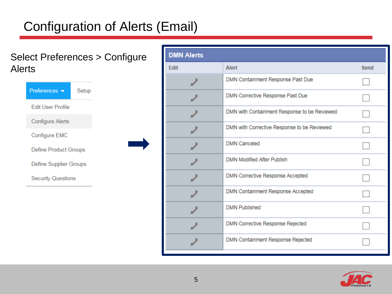# Configuration of Alerts (Email)

#### Select Preferences > Configure Alerts



| <b>DMN Alerts</b> |                                              |      |
|-------------------|----------------------------------------------|------|
| <b>Edit</b>       | Alert                                        | Send |
|                   | DMN Containment Response Past Due            |      |
|                   | DMN Corrective Response Past Due             |      |
|                   | DMN with Containment Response to be Reviewed |      |
|                   | DMN with Corrective Response to be Reviewed  |      |
|                   | <b>DMN Canceled</b>                          |      |
|                   | <b>DMN Modified After Publish</b>            |      |
|                   | DMN Corrective Response Accepted             |      |
|                   | DMN Containment Response Accepted            |      |
|                   | <b>DMN Published</b>                         |      |
|                   | DMN Corrective Response Rejected             |      |
|                   | DMN Containment Response Rejected            |      |

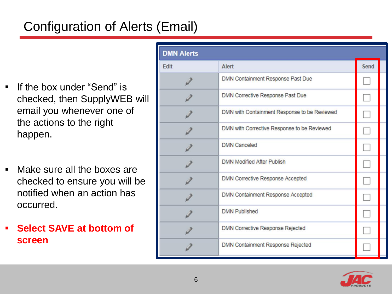# Configuration of Alerts (Email)

- If the box under "Send" is checked, then SupplyWEB will email you whenever one of the actions to the right happen.
- Make sure all the boxes are checked to ensure you will be notified when an action has occurred.
- **Select SAVE at bottom of screen**

| <b>DMN Alerts</b> |                                              |        |  |
|-------------------|----------------------------------------------|--------|--|
| <b>Fdit</b>       | Alert                                        | Send   |  |
|                   | DMN Containment Response Past Due            |        |  |
|                   | DMN Corrective Response Past Due             |        |  |
|                   | DMN with Containment Response to be Reviewed |        |  |
|                   | DMN with Corrective Response to be Reviewed  | $\Box$ |  |
|                   | <b>DMN</b> Canceled                          |        |  |
|                   | <b>DMN Modified After Publish</b>            |        |  |
|                   | <b>DMN Corrective Response Accepted</b>      |        |  |
|                   | DMN Containment Response Accepted            | $\sim$ |  |
|                   | <b>DMN Published</b>                         |        |  |
|                   | <b>DMN Corrective Response Rejected</b>      |        |  |
|                   | DMN Containment Response Rejected            |        |  |

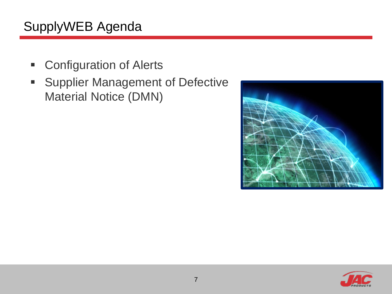# SupplyWEB Agenda

- **EXECONFIGURATION OF Alerts**
- **Supplier Management of Defective** Material Notice (DMN)



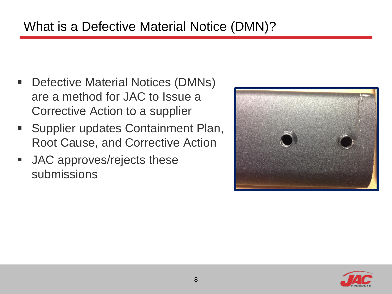#### What is a Defective Material Notice (DMN)?

- Defective Material Notices (DMNs) are a method for JAC to Issue a Corrective Action to a supplier
- **Supplier updates Containment Plan,** Root Cause, and Corrective Action
- **JAC** approves/rejects these submissions



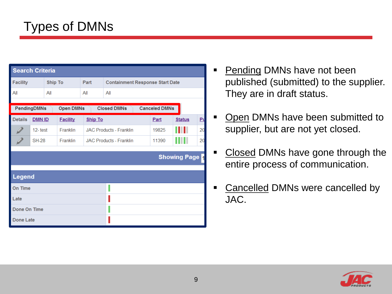| <b>Search Criteria</b>                                                        |               |                |                 |         |                                        |  |       |                       |                |
|-------------------------------------------------------------------------------|---------------|----------------|-----------------|---------|----------------------------------------|--|-------|-----------------------|----------------|
| <b>Facility</b>                                                               |               | <b>Ship To</b> |                 | Part    | <b>Containment Response Start Date</b> |  |       |                       |                |
| All                                                                           |               | All            |                 | All     | All                                    |  |       |                       |                |
| <b>Closed DMNs</b><br><b>Canceled DMNs</b><br>PendingDMNs<br><b>Open DMNs</b> |               |                |                 |         |                                        |  |       |                       |                |
| <b>Details</b>                                                                | <b>DMN ID</b> |                | <b>Facility</b> | Ship To |                                        |  | Part  | <b>Status</b>         | P <sub>l</sub> |
|                                                                               | $12 - test$   |                | Franklin        |         | <b>JAC Products - Franklin</b>         |  | 19825 | . .                   | 20             |
|                                                                               | <b>SH-28</b>  |                | Franklin        |         | <b>JAC Products - Franklin</b>         |  | 11390 | .                     | 20             |
|                                                                               |               |                |                 |         |                                        |  |       | <b>Showing Page 1</b> |                |
| <b>Legend</b>                                                                 |               |                |                 |         |                                        |  |       |                       |                |
| On Time                                                                       |               |                |                 |         |                                        |  |       |                       |                |
| Late                                                                          |               |                |                 |         |                                        |  |       |                       |                |
| Done On Time                                                                  |               |                |                 |         |                                        |  |       |                       |                |
| <b>Done Late</b>                                                              |               |                |                 |         |                                        |  |       |                       |                |

- **Pending DMNs have not been** published (submitted) to the supplier. They are in draft status.
- Open DMNs have been submitted to supplier, but are not yet closed.
- Closed DMNs have gone through the entire process of communication.
- **Cancelled DMNs were cancelled by** JAC.

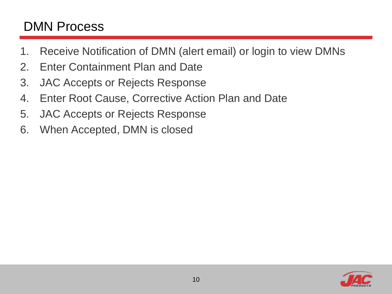#### DMN Process

- 1. Receive Notification of DMN (alert email) or login to view DMNs
- 2. Enter Containment Plan and Date
- 3. JAC Accepts or Rejects Response
- 4. Enter Root Cause, Corrective Action Plan and Date
- 5. JAC Accepts or Rejects Response
- 6. When Accepted, DMN is closed

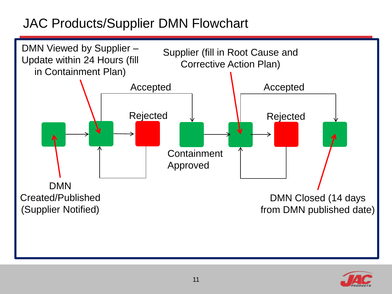## JAC Products/Supplier DMN Flowchart



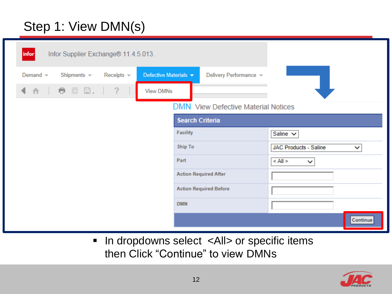# Step 1: View DMN(s)

| infor         | Infor Supplier Exchange® 11.4.5.013. |                 |                       |                        |                                     |                                   |
|---------------|--------------------------------------|-----------------|-----------------------|------------------------|-------------------------------------|-----------------------------------|
| Demand $\sim$ | Shipments $\sim$                     | Receipts $\sim$ | Defective Materials v |                        | Delivery Performance v              |                                   |
| 一合一<br>◀      | <b>e</b> 5 8.                        | ?               | <b>View DMNs</b>      |                        |                                     |                                   |
|               |                                      |                 |                       |                        | DMN View Defective Material Notices |                                   |
|               |                                      |                 |                       | <b>Search Criteria</b> |                                     |                                   |
|               |                                      |                 |                       | <b>Facility</b>        |                                     | Saline $\vee$                     |
|               |                                      |                 |                       | <b>Ship To</b>         |                                     | <b>JAC Products - Saline</b><br>◡ |
|               |                                      |                 |                       | Part                   |                                     | $<$ All $>$<br>$\checkmark$       |
|               |                                      |                 |                       |                        | <b>Action Required After</b>        |                                   |
|               |                                      |                 |                       |                        | <b>Action Required Before</b>       |                                   |
|               |                                      |                 |                       | <b>DMN</b>             |                                     |                                   |
|               |                                      |                 |                       |                        |                                     | Continue                          |

■ In dropdowns select <All> or specific items then Click "Continue" to view DMNs

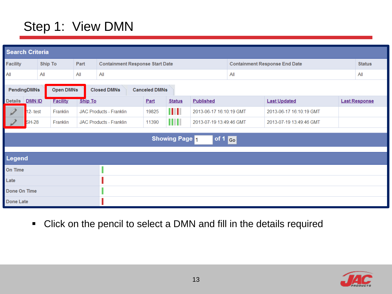### Step 1: View DMN

|                  | <b>Search Criteria</b>                                                        |                 |                |                                        |       |                       |                         |                                      |                         |  |                      |
|------------------|-------------------------------------------------------------------------------|-----------------|----------------|----------------------------------------|-------|-----------------------|-------------------------|--------------------------------------|-------------------------|--|----------------------|
| <b>Facility</b>  |                                                                               | <b>Ship To</b>  | Part           | <b>Containment Response Start Date</b> |       |                       |                         | <b>Containment Response End Date</b> |                         |  | <b>Status</b>        |
| All              |                                                                               | All             | All            | All                                    | All   |                       |                         | All                                  |                         |  |                      |
|                  | <b>Open DMNs</b><br>PendingDMNs<br><b>Closed DMNs</b><br><b>Canceled DMNs</b> |                 |                |                                        |       |                       |                         |                                      |                         |  |                      |
| <b>Details</b>   | <b>DMN ID</b>                                                                 | <b>Facility</b> | <b>Ship To</b> |                                        | Part  | <b>Status</b>         | <b>Published</b>        |                                      | <b>Last Updated</b>     |  | <b>Last Response</b> |
|                  | $12 - test$                                                                   | Franklin        |                | JAC Products - Franklin                | 19825 | Ш                     | 2013-06-17 16:10:19 GMT |                                      | 2013-06-17 16:10:19 GMT |  |                      |
|                  | <b>SH-28</b>                                                                  | Franklin        |                | JAC Products - Franklin                | 11390 | Ш                     | 2013-07-19 13:49:46 GMT |                                      | 2013-07-19 13:49:46 GMT |  |                      |
|                  |                                                                               |                 |                |                                        |       | <b>Showing Page 1</b> | of 1 Go                 |                                      |                         |  |                      |
| Legend           |                                                                               |                 |                |                                        |       |                       |                         |                                      |                         |  |                      |
| On Time          |                                                                               |                 |                |                                        |       |                       |                         |                                      |                         |  |                      |
| Late             |                                                                               |                 |                |                                        |       |                       |                         |                                      |                         |  |                      |
| Done On Time     |                                                                               |                 |                |                                        |       |                       |                         |                                      |                         |  |                      |
| <b>Done Late</b> |                                                                               |                 |                |                                        |       |                       |                         |                                      |                         |  |                      |

Click on the pencil to select a DMN and fill in the details required

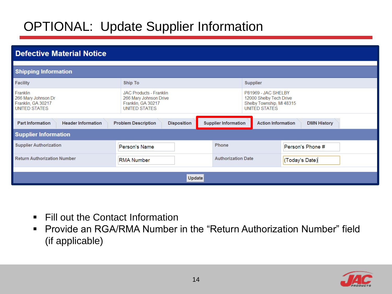## OPTIONAL: Update Supplier Information

| <b>Defective Material Notice</b>                                       |                                                                                                 |                             |                                                                                              |                    |  |
|------------------------------------------------------------------------|-------------------------------------------------------------------------------------------------|-----------------------------|----------------------------------------------------------------------------------------------|--------------------|--|
| <b>Shipping Information</b>                                            |                                                                                                 |                             |                                                                                              |                    |  |
| <b>Facility</b>                                                        | Ship To                                                                                         |                             | <b>Supplier</b>                                                                              |                    |  |
| Franklin<br>266 Mary Johnson Dr<br>Franklin, GA 30217<br>UNITED STATES | <b>JAC Products - Franklin</b><br>266 Mary Johnson Drive<br>Franklin, GA 30217<br>UNITED STATES |                             | P81969 - JAC SHELBY<br>12000 Shelby Tech Drive<br>Shelby Township, MI 48315<br>UNITED STATES |                    |  |
| <b>Part Information</b><br><b>Header Information</b>                   | <b>Problem Description</b><br><b>Disposition</b>                                                | <b>Supplier Information</b> | <b>Action Information</b>                                                                    | <b>DMN History</b> |  |
| <b>Supplier Information</b>                                            |                                                                                                 |                             |                                                                                              |                    |  |
| <b>Supplier Authorization</b>                                          | Person's Name                                                                                   | <b>Phone</b>                |                                                                                              | Person's Phone #   |  |
| <b>Return Authorization Number</b>                                     | <b>RMA Number</b>                                                                               | <b>Authorization Date</b>   |                                                                                              | (Today's Date)     |  |
|                                                                        | <b>Update</b>                                                                                   |                             |                                                                                              |                    |  |

- Fill out the Contact Information
- **Provide an RGA/RMA Number in the "Return Authorization Number" field** (if applicable)

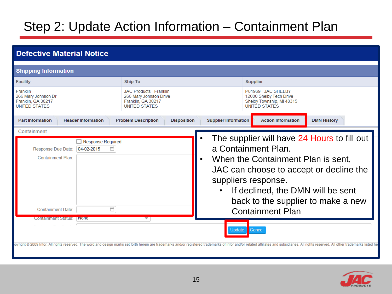#### Step 2: Update Action Information – Containment Plan

| <b>Defective Material Notice</b>                                                                                                                                             |                                                                                                        |                                                                                                                                                                                                                                                                                                                                                                                                                                                                                                                                               |  |  |  |  |  |
|------------------------------------------------------------------------------------------------------------------------------------------------------------------------------|--------------------------------------------------------------------------------------------------------|-----------------------------------------------------------------------------------------------------------------------------------------------------------------------------------------------------------------------------------------------------------------------------------------------------------------------------------------------------------------------------------------------------------------------------------------------------------------------------------------------------------------------------------------------|--|--|--|--|--|
| <b>Shipping Information</b>                                                                                                                                                  |                                                                                                        |                                                                                                                                                                                                                                                                                                                                                                                                                                                                                                                                               |  |  |  |  |  |
| <b>Facility</b>                                                                                                                                                              | <b>Ship To</b>                                                                                         | <b>Supplier</b>                                                                                                                                                                                                                                                                                                                                                                                                                                                                                                                               |  |  |  |  |  |
| Franklin<br>266 Mary Johnson Dr<br>Franklin, GA 30217<br><b>UNITED STATES</b>                                                                                                | <b>JAC Products - Franklin</b><br>266 Mary Johnson Drive<br>Franklin, GA 30217<br><b>UNITED STATES</b> | P81969 - JAC SHELBY<br>12000 Shelby Tech Drive<br>Shelby Township, MI 48315<br><b>UNITED STATES</b>                                                                                                                                                                                                                                                                                                                                                                                                                                           |  |  |  |  |  |
| <b>Part Information</b><br><b>Header Information</b>                                                                                                                         | <b>Problem Description</b><br><b>Disposition</b>                                                       | <b>Supplier Information</b><br><b>Action Information</b><br><b>DMN History</b>                                                                                                                                                                                                                                                                                                                                                                                                                                                                |  |  |  |  |  |
| Containment<br><b>Response Required</b><br>₩<br>Response Due Date:<br>04-02-2015<br>Containment Plan:<br>e<br><b>Containment Date:</b><br>Containment Status:<br><b>None</b> | $\bullet$<br>$\overline{\phantom{a}}$                                                                  | The supplier will have 24 Hours to fill out<br>a Containment Plan.<br>When the Containment Plan is sent,<br>JAC can choose to accept or decline the<br>suppliers response.<br>If declined, the DMN will be sent<br>back to the supplier to make a new<br><b>Containment Plan</b><br><b>Update</b><br>Cancel<br>bpyright © 2009 Infor. All rights reserved. The word and design marks set forth herein are trademarks and/or registered trademarks of Infor and/or related affiliates and subsidiaries. All rights reserved. All other tradema |  |  |  |  |  |

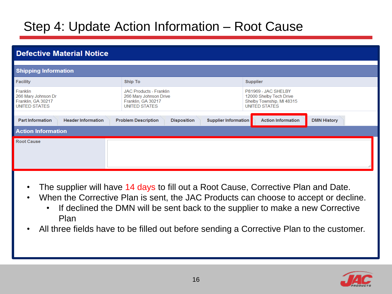#### Step 4: Update Action Information – Root Cause

| <b>Defective Material Notice</b>                                              |                                                                                                        |                                                                                              |  |  |  |  |  |  |
|-------------------------------------------------------------------------------|--------------------------------------------------------------------------------------------------------|----------------------------------------------------------------------------------------------|--|--|--|--|--|--|
| <b>Shipping Information</b>                                                   |                                                                                                        |                                                                                              |  |  |  |  |  |  |
| <b>Facility</b>                                                               | Ship To                                                                                                | <b>Supplier</b>                                                                              |  |  |  |  |  |  |
| Franklin<br>266 Mary Johnson Dr<br>Franklin, GA 30217<br><b>UNITED STATES</b> | <b>JAC Products - Franklin</b><br>266 Mary Johnson Drive<br>Franklin, GA 30217<br><b>UNITED STATES</b> | P81969 - JAC SHELBY<br>12000 Shelby Tech Drive<br>Shelby Township, MI 48315<br>UNITED STATES |  |  |  |  |  |  |
| <b>Header Information</b><br><b>Part Information</b>                          | <b>Supplier Information</b><br><b>Problem Description</b><br><b>Disposition</b>                        | <b>Action Information</b><br><b>DMN History</b>                                              |  |  |  |  |  |  |
| <b>Action Information</b>                                                     |                                                                                                        |                                                                                              |  |  |  |  |  |  |
| <b>Root Cause</b>                                                             |                                                                                                        |                                                                                              |  |  |  |  |  |  |

- The supplier will have 14 days to fill out a Root Cause, Corrective Plan and Date.
- When the Corrective Plan is sent, the JAC Products can choose to accept or decline.
	- If declined the DMN will be sent back to the supplier to make a new Corrective Plan
- All three fields have to be filled out before sending a Corrective Plan to the customer.

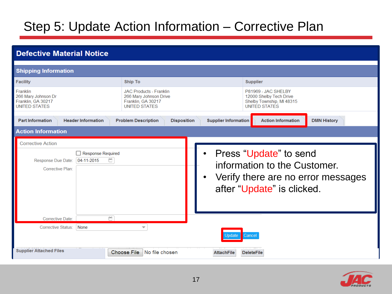#### Step 5: Update Action Information – Corrective Plan

| <b>Defective Material Notice</b>                                                                             |                                                                                                        |                             |                                                                                                                            |                    |  |  |  |
|--------------------------------------------------------------------------------------------------------------|--------------------------------------------------------------------------------------------------------|-----------------------------|----------------------------------------------------------------------------------------------------------------------------|--------------------|--|--|--|
| <b>Shipping Information</b>                                                                                  |                                                                                                        |                             |                                                                                                                            |                    |  |  |  |
| <b>Facility</b>                                                                                              | <b>Ship To</b>                                                                                         |                             | <b>Supplier</b>                                                                                                            |                    |  |  |  |
| Franklin<br>266 Mary Johnson Dr<br>Franklin, GA 30217<br><b>UNITED STATES</b>                                | <b>JAC Products - Franklin</b><br>266 Mary Johnson Drive<br>Franklin, GA 30217<br><b>UNITED STATES</b> |                             | P81969 - JAC SHELBY<br>12000 Shelby Tech Drive<br>Shelby Township, MI 48315<br><b>UNITED STATES</b>                        |                    |  |  |  |
| <b>Part Information</b><br><b>Header Information</b>                                                         | <b>Problem Description</b><br><b>Disposition</b>                                                       | <b>Supplier Information</b> | <b>Action Information</b>                                                                                                  | <b>DMN History</b> |  |  |  |
| <b>Action Information</b>                                                                                    |                                                                                                        |                             |                                                                                                                            |                    |  |  |  |
| <b>Corrective Action</b><br>Response Required<br>ë<br>$04-11-2015$<br>Response Due Date:<br>Corrective Plan: |                                                                                                        | $\bullet$                   | Press "Update" to send<br>information to the Customer.<br>Verify there are no error messages<br>after "Update" is clicked. |                    |  |  |  |
| ۳<br><b>Corrective Date:</b><br><b>Corrective Status:</b><br>None                                            | $\overline{\phantom{a}}$                                                                               |                             | ;ancel                                                                                                                     |                    |  |  |  |
| <b>Supplier Attached Files</b>                                                                               | No file chosen<br><b>Choose File</b>                                                                   | <b>AttachFile</b>           | <b>DeleteFile</b>                                                                                                          |                    |  |  |  |

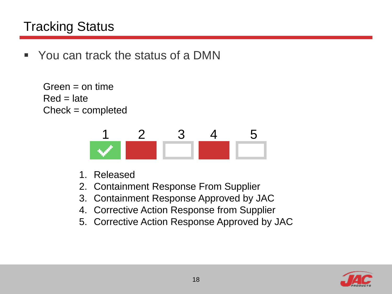#### Tracking Status

• You can track the status of a DMN

```
Green = on timeRed = lateCheck = completed
```


- 1. Released
- 2. Containment Response From Supplier
- 3. Containment Response Approved by JAC
- 4. Corrective Action Response from Supplier
- 5. Corrective Action Response Approved by JAC